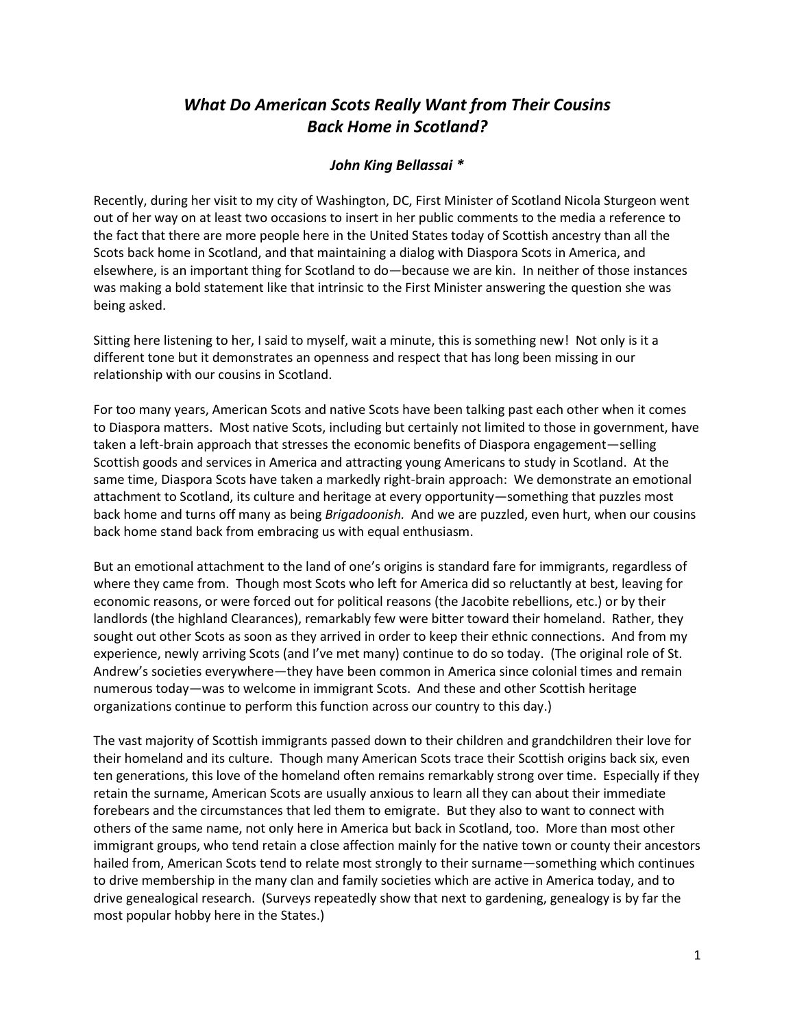## *What Do American Scots Really Want from Their Cousins Back Home in Scotland?*

## *John King Bellassai \**

Recently, during her visit to my city of Washington, DC, First Minister of Scotland Nicola Sturgeon went out of her way on at least two occasions to insert in her public comments to the media a reference to the fact that there are more people here in the United States today of Scottish ancestry than all the Scots back home in Scotland, and that maintaining a dialog with Diaspora Scots in America, and elsewhere, is an important thing for Scotland to do—because we are kin. In neither of those instances was making a bold statement like that intrinsic to the First Minister answering the question she was being asked.

Sitting here listening to her, I said to myself, wait a minute, this is something new! Not only is it a different tone but it demonstrates an openness and respect that has long been missing in our relationship with our cousins in Scotland.

For too many years, American Scots and native Scots have been talking past each other when it comes to Diaspora matters. Most native Scots, including but certainly not limited to those in government, have taken a left-brain approach that stresses the economic benefits of Diaspora engagement—selling Scottish goods and services in America and attracting young Americans to study in Scotland. At the same time, Diaspora Scots have taken a markedly right-brain approach: We demonstrate an emotional attachment to Scotland, its culture and heritage at every opportunity—something that puzzles most back home and turns off many as being *Brigadoonish.* And we are puzzled, even hurt, when our cousins back home stand back from embracing us with equal enthusiasm.

But an emotional attachment to the land of one's origins is standard fare for immigrants, regardless of where they came from. Though most Scots who left for America did so reluctantly at best, leaving for economic reasons, or were forced out for political reasons (the Jacobite rebellions, etc.) or by their landlords (the highland Clearances), remarkably few were bitter toward their homeland. Rather, they sought out other Scots as soon as they arrived in order to keep their ethnic connections. And from my experience, newly arriving Scots (and I've met many) continue to do so today. (The original role of St. Andrew's societies everywhere—they have been common in America since colonial times and remain numerous today—was to welcome in immigrant Scots. And these and other Scottish heritage organizations continue to perform this function across our country to this day.)

The vast majority of Scottish immigrants passed down to their children and grandchildren their love for their homeland and its culture. Though many American Scots trace their Scottish origins back six, even ten generations, this love of the homeland often remains remarkably strong over time. Especially if they retain the surname, American Scots are usually anxious to learn all they can about their immediate forebears and the circumstances that led them to emigrate. But they also to want to connect with others of the same name, not only here in America but back in Scotland, too. More than most other immigrant groups, who tend retain a close affection mainly for the native town or county their ancestors hailed from, American Scots tend to relate most strongly to their surname—something which continues to drive membership in the many clan and family societies which are active in America today, and to drive genealogical research. (Surveys repeatedly show that next to gardening, genealogy is by far the most popular hobby here in the States.)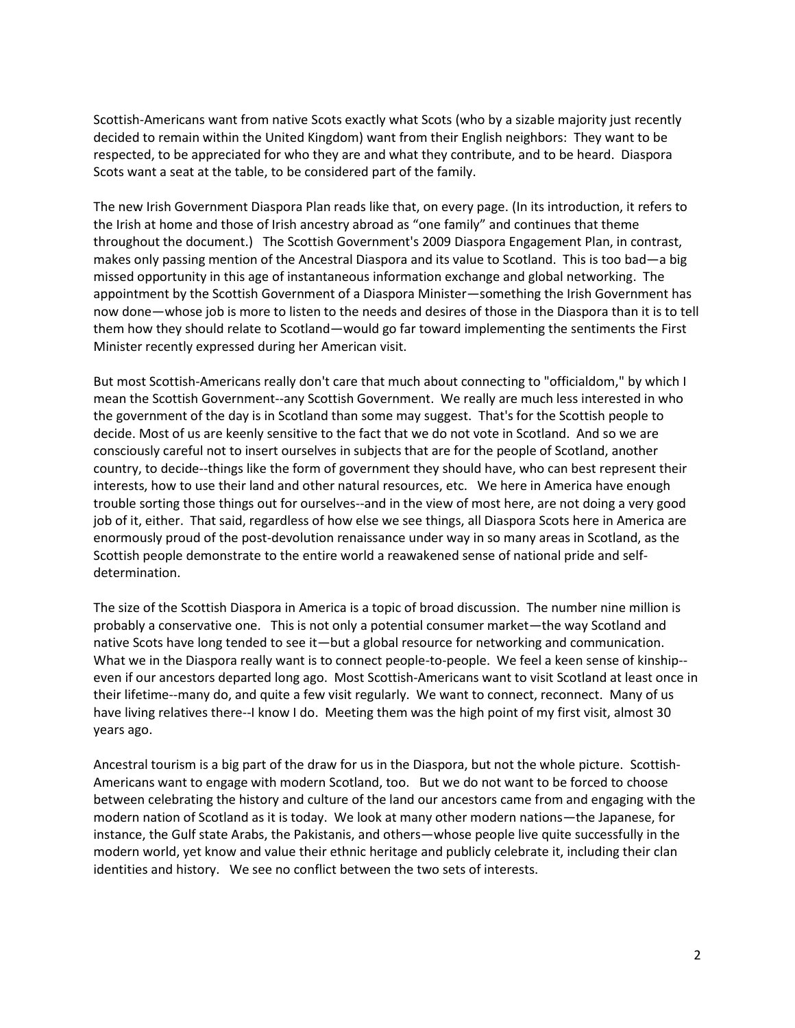Scottish-Americans want from native Scots exactly what Scots (who by a sizable majority just recently decided to remain within the United Kingdom) want from their English neighbors: They want to be respected, to be appreciated for who they are and what they contribute, and to be heard. Diaspora Scots want a seat at the table, to be considered part of the family.

The new Irish Government Diaspora Plan reads like that, on every page. (In its introduction, it refers to the Irish at home and those of Irish ancestry abroad as "one family" and continues that theme throughout the document.) The Scottish Government's 2009 Diaspora Engagement Plan, in contrast, makes only passing mention of the Ancestral Diaspora and its value to Scotland. This is too bad—a big missed opportunity in this age of instantaneous information exchange and global networking. The appointment by the Scottish Government of a Diaspora Minister—something the Irish Government has now done—whose job is more to listen to the needs and desires of those in the Diaspora than it is to tell them how they should relate to Scotland—would go far toward implementing the sentiments the First Minister recently expressed during her American visit.

But most Scottish-Americans really don't care that much about connecting to "officialdom," by which I mean the Scottish Government--any Scottish Government. We really are much less interested in who the government of the day is in Scotland than some may suggest. That's for the Scottish people to decide. Most of us are keenly sensitive to the fact that we do not vote in Scotland. And so we are consciously careful not to insert ourselves in subjects that are for the people of Scotland, another country, to decide--things like the form of government they should have, who can best represent their interests, how to use their land and other natural resources, etc. We here in America have enough trouble sorting those things out for ourselves--and in the view of most here, are not doing a very good job of it, either. That said, regardless of how else we see things, all Diaspora Scots here in America are enormously proud of the post-devolution renaissance under way in so many areas in Scotland, as the Scottish people demonstrate to the entire world a reawakened sense of national pride and selfdetermination.

The size of the Scottish Diaspora in America is a topic of broad discussion. The number nine million is probably a conservative one. This is not only a potential consumer market—the way Scotland and native Scots have long tended to see it—but a global resource for networking and communication. What we in the Diaspora really want is to connect people-to-people. We feel a keen sense of kinship- even if our ancestors departed long ago. Most Scottish-Americans want to visit Scotland at least once in their lifetime--many do, and quite a few visit regularly. We want to connect, reconnect. Many of us have living relatives there--I know I do. Meeting them was the high point of my first visit, almost 30 years ago.

Ancestral tourism is a big part of the draw for us in the Diaspora, but not the whole picture. Scottish-Americans want to engage with modern Scotland, too. But we do not want to be forced to choose between celebrating the history and culture of the land our ancestors came from and engaging with the modern nation of Scotland as it is today. We look at many other modern nations—the Japanese, for instance, the Gulf state Arabs, the Pakistanis, and others—whose people live quite successfully in the modern world, yet know and value their ethnic heritage and publicly celebrate it, including their clan identities and history. We see no conflict between the two sets of interests.